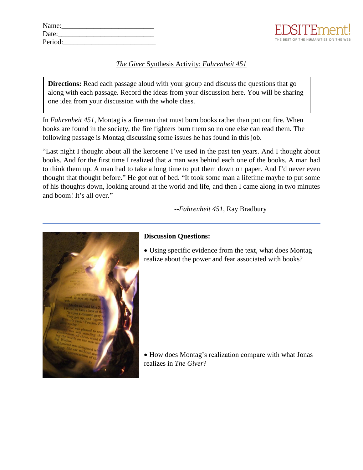| Name:   |  |  |
|---------|--|--|
| Date:   |  |  |
| Period: |  |  |



## *The Giver* Synthesis Activity: *Fahrenheit 451*

**Directions:** Read each passage aloud with your group and discuss the questions that go along with each passage. Record the ideas from your discussion here. You will be sharing one idea from your discussion with the whole class.

In *Fahrenheit 451*, Montag is a fireman that must burn books rather than put out fire. When books are found in the society, the fire fighters burn them so no one else can read them. The following passage is Montag discussing some issues he has found in this job.

"Last night I thought about all the kerosene I've used in the past ten years. And I thought about books. And for the first time I realized that a man was behind each one of the books. A man had to think them up. A man had to take a long time to put them down on paper. And I'd never even thought that thought before." He got out of bed. "It took some man a lifetime maybe to put some of his thoughts down, looking around at the world and life, and then I came along in two minutes and boom! It's all over."

 *--Fahrenheit 451*, Ray Bradbury



## **Discussion Questions:**

• Using specific evidence from the text, what does Montag realize about the power and fear associated with books?

• How does Montag's realization compare with what Jonas realizes in *The Giver*?